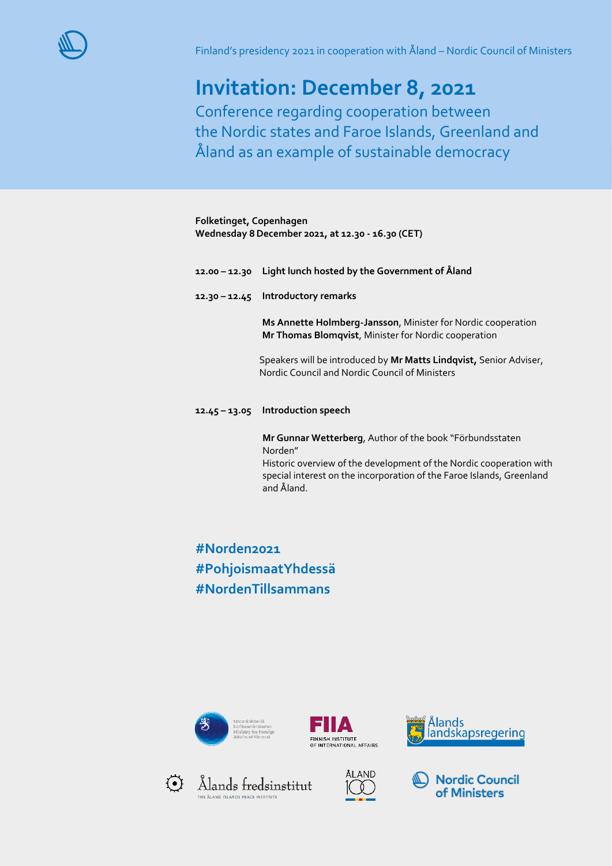

# **Invitation: December 8, 2021**

Conference regarding cooperation between the Nordic states and Faroe Islands, Greenland and Åland as an example of sustainable democracy

# **Folketinget, Copenhagen Wednesday 8December 2021, at 12.30 - 16.30 (CET)**

- **12.00 – 12.30 Light lunch hosted by the Government of Åland**
- **12.30 – 12.45 Introductory remarks**

**Ms Annette Holmberg-Jansson**, Minister for Nordic cooperation **Mr Thomas Blomqvist**, Minister for Nordic cooperation

Speakers will be introduced by **Mr Matts Lindqvist,** Senior Adviser, Nordic Council and Nordic Council of Ministers

**12.45 – 13.05 Introduction speech**

**Mr Gunnar Wetterberg**, Author of the book "Förbundsstaten Norden" Historic overview of the development of the Nordic cooperation with special interest on the incorporation of the Faroe Islands, Greenland and Åland.

**#Norden2021 #PohjoismaatYhdessä #NordenTillsammans**













Nordic Council of Ministers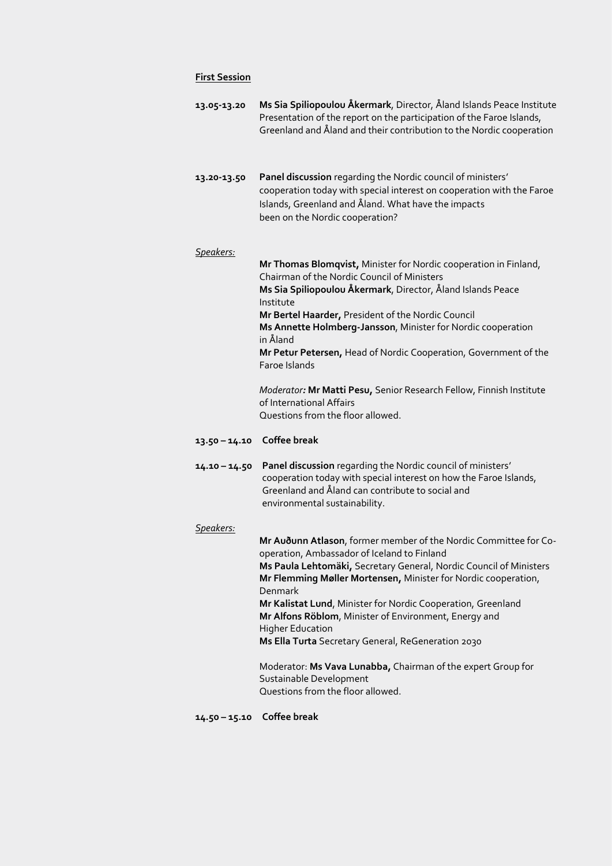# **First Session**

| 13.05-13.20      | Ms Sia Spiliopoulou Åkermark, Director, Åland Islands Peace Institute<br>Presentation of the report on the participation of the Faroe Islands,<br>Greenland and Åland and their contribution to the Nordic cooperation                                                                                                                                                                                                                                                                                                                       |
|------------------|----------------------------------------------------------------------------------------------------------------------------------------------------------------------------------------------------------------------------------------------------------------------------------------------------------------------------------------------------------------------------------------------------------------------------------------------------------------------------------------------------------------------------------------------|
| 13.20-13.50      | Panel discussion regarding the Nordic council of ministers'<br>cooperation today with special interest on cooperation with the Faroe<br>Islands, Greenland and Åland. What have the impacts<br>been on the Nordic cooperation?                                                                                                                                                                                                                                                                                                               |
| <u>Speakers:</u> | Mr Thomas Blomqvist, Minister for Nordic cooperation in Finland,<br>Chairman of the Nordic Council of Ministers<br>Ms Sia Spiliopoulou Åkermark, Director, Åland Islands Peace<br>Institute<br>Mr Bertel Haarder, President of the Nordic Council<br>Ms Annette Holmberg-Jansson, Minister for Nordic cooperation<br>in Åland<br>Mr Petur Petersen, Head of Nordic Cooperation, Government of the<br>Faroe Islands                                                                                                                           |
|                  | Moderator: Mr Matti Pesu, Senior Research Fellow, Finnish Institute<br>of International Affairs<br>Questions from the floor allowed.                                                                                                                                                                                                                                                                                                                                                                                                         |
| $13.50 - 14.10$  | <b>Coffee break</b>                                                                                                                                                                                                                                                                                                                                                                                                                                                                                                                          |
| $14.10 - 14.50$  | Panel discussion regarding the Nordic council of ministers'<br>cooperation today with special interest on how the Faroe Islands,<br>Greenland and Åland can contribute to social and<br>environmental sustainability.                                                                                                                                                                                                                                                                                                                        |
| <u>Speakers:</u> | Mr Audunn Atlason, former member of the Nordic Committee for Co-<br>operation, Ambassador of Iceland to Finland<br>Ms Paula Lehtomäki, Secretary General, Nordic Council of Ministers<br>Mr Flemming Møller Mortensen, Minister for Nordic cooperation,<br>Denmark<br>Mr Kalistat Lund, Minister for Nordic Cooperation, Greenland<br>Mr Alfons Röblom, Minister of Environment, Energy and<br><b>Higher Education</b><br>Ms Ella Turta Secretary General, ReGeneration 2030<br>Moderator: Ms Vava Lunabba, Chairman of the expert Group for |
|                  | Sustainable Development<br>Questions from the floor allowed.                                                                                                                                                                                                                                                                                                                                                                                                                                                                                 |
| $14.50 - 15.10$  | Coffee break                                                                                                                                                                                                                                                                                                                                                                                                                                                                                                                                 |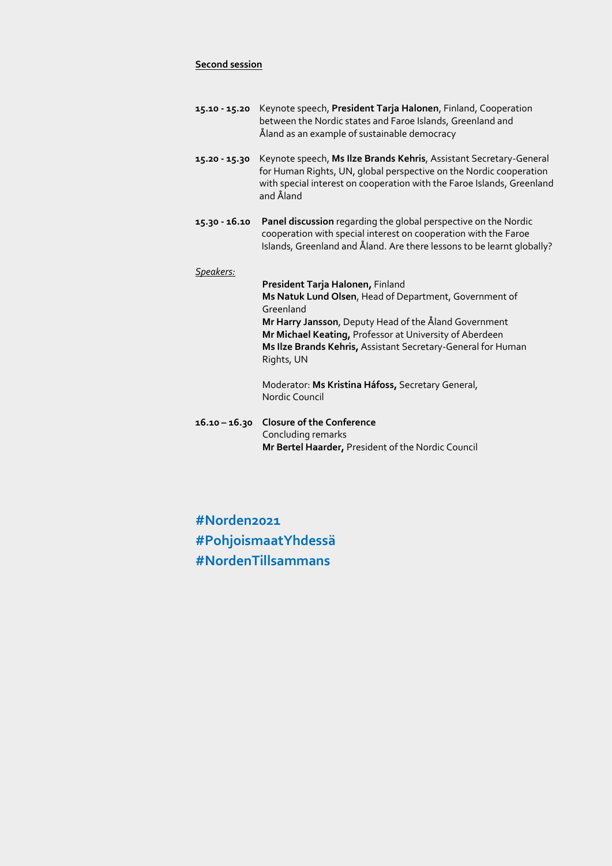# **Second session**

- **15.10 - 15.20** Keynote speech, **President Tarja Halonen**, Finland, Cooperation between the Nordic states and Faroe Islands, Greenland and Åland as an example of sustainable democracy
- **15.20 - 15.30** Keynote speech, **Ms Ilze Brands Kehris**, Assistant Secretary-General for Human Rights, UN, global perspective on the Nordic cooperation with special interest on cooperation with the Faroe Islands, Greenland and Åland
- **15.30 - 16.10 Panel discussion** regarding the global perspective on the Nordic cooperation with special interest on cooperation with the Faroe Islands, Greenland and Åland. Are there lessons to be learnt globally?

#### *Speakers:*

**President Tarja Halonen,** Finland **Ms Natuk Lund Olsen**, Head of Department, Government of Greenland **Mr Harry Jansson**, Deputy Head of the Åland Government **Mr Michael Keating,** Professor at University of Aberdeen **Ms Ilze Brands Kehris,** Assistant Secretary-General for Human Rights, UN

> Moderator: **Ms Kristina Háfoss,** Secretary General, Nordic Council

**16.10 – 16.30 Closure of the Conference** Concluding remarks **Mr Bertel Haarder,** President of the Nordic Council

**#Norden2021 #PohjoismaatYhdessä #NordenTillsammans**